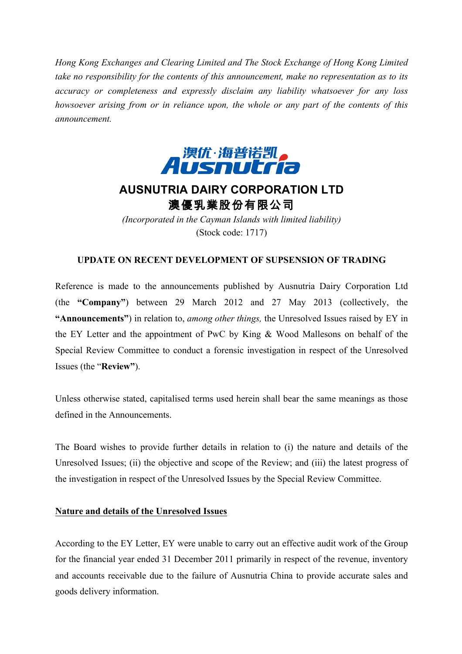*Hong Kong Exchanges and Clearing Limited and The Stock Exchange of Hong Kong Limited take no responsibility for the contents of this announcement, make no representation as to its accuracy or completeness and expressly disclaim any liability whatsoever for any loss howsoever arising from or in reliance upon, the whole or any part of the contents of this announcement.*



# **AUSNUTRIA DAIRY CORPORATION LTD** 澳優乳業股份有限公司

*(Incorporated in the Cayman Islands with limited liability)* (Stock code: 1717)

## **UPDATE ON RECENT DEVELOPMENT OF SUPSENSION OF TRADING**

Reference is made to the announcements published by Ausnutria Dairy Corporation Ltd (the **"Company"**) between 29 March 2012 and 27 May 2013 (collectively, the **"Announcements"**) in relation to, *among other things,* the Unresolved Issues raised by EY in the EY Letter and the appointment of PwC by King & Wood Mallesons on behalf of the Special Review Committee to conduct a forensic investigation in respect of the Unresolved Issues (the "**Review"**).

Unless otherwise stated, capitalised terms used herein shall bear the same meanings as those defined in the Announcements.

The Board wishes to provide further details in relation to (i) the nature and details of the Unresolved Issues; (ii) the objective and scope of the Review; and (iii) the latest progress of the investigation in respect of the Unresolved Issues by the Special Review Committee.

# **Nature and details of the Unresolved Issues**

According to the EY Letter, EY were unable to carry out an effective audit work of the Group for the financial year ended 31 December 2011 primarily in respect of the revenue, inventory and accounts receivable due to the failure of Ausnutria China to provide accurate sales and goods delivery information.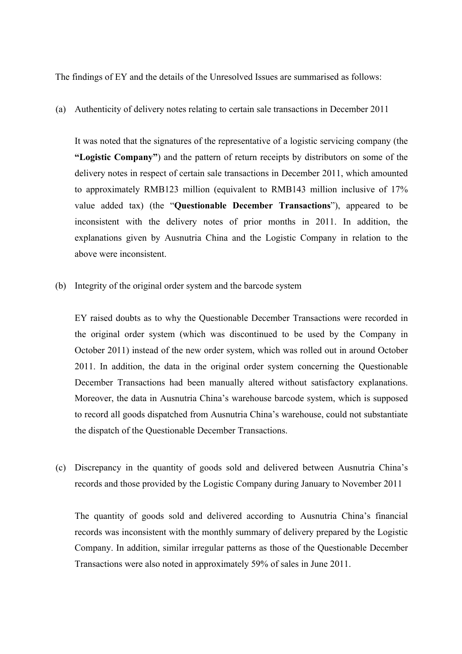The findings of EY and the details of the Unresolved Issues are summarised as follows:

(a) Authenticity of delivery notes relating to certain sale transactions in December 2011

It was noted that the signatures of the representative of a logistic servicing company (the **"Logistic Company"**) and the pattern of return receipts by distributors on some of the delivery notes in respect of certain sale transactions in December 2011, which amounted to approximately RMB123 million (equivalent to RMB143 million inclusive of 17% value added tax) (the "**Questionable December Transactions**"), appeared to be inconsistent with the delivery notes of prior months in 2011. In addition, the explanations given by Ausnutria China and the Logistic Company in relation to the above were inconsistent.

(b) Integrity of the original order system and the barcode system

EY raised doubts as to why the Questionable December Transactions were recorded in the original order system (which was discontinued to be used by the Company in October 2011) instead of the new order system, which was rolled out in around October 2011. In addition, the data in the original order system concerning the Questionable December Transactions had been manually altered without satisfactory explanations. Moreover, the data in Ausnutria China's warehouse barcode system, which is supposed to record all goods dispatched from Ausnutria China's warehouse, could not substantiate the dispatch of the Questionable December Transactions.

(c) Discrepancy in the quantity of goods sold and delivered between Ausnutria China's records and those provided by the Logistic Company during January to November 2011

The quantity of goods sold and delivered according to Ausnutria China's financial records was inconsistent with the monthly summary of delivery prepared by the Logistic Company. In addition, similar irregular patterns as those of the Questionable December Transactions were also noted in approximately 59% of sales in June 2011.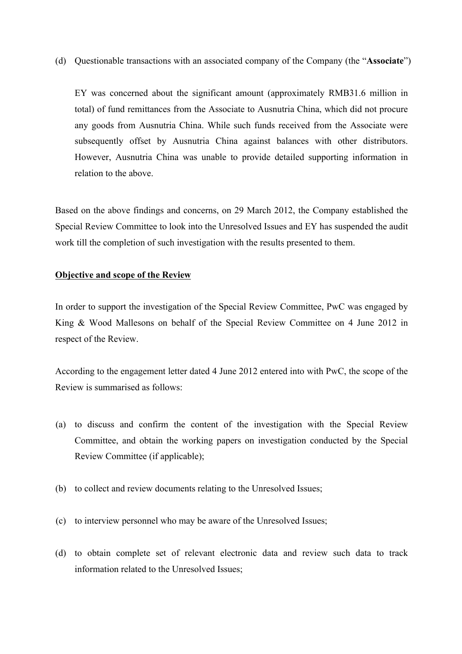(d) Questionable transactions with an associated company of the Company (the "**Associate**")

EY was concerned about the significant amount (approximately RMB31.6 million in total) of fund remittances from the Associate to Ausnutria China, which did not procure any goods from Ausnutria China. While such funds received from the Associate were subsequently offset by Ausnutria China against balances with other distributors. However, Ausnutria China was unable to provide detailed supporting information in relation to the above.

Based on the above findings and concerns, on 29 March 2012, the Company established the Special Review Committee to look into the Unresolved Issues and EY has suspended the audit work till the completion of such investigation with the results presented to them.

#### **Objective and scope of the Review**

In order to support the investigation of the Special Review Committee, PwC was engaged by King & Wood Mallesons on behalf of the Special Review Committee on 4 June 2012 in respect of the Review.

According to the engagement letter dated 4 June 2012 entered into with PwC, the scope of the Review is summarised as follows:

- (a) to discuss and confirm the content of the investigation with the Special Review Committee, and obtain the working papers on investigation conducted by the Special Review Committee (if applicable);
- (b) to collect and review documents relating to the Unresolved Issues;
- (c) to interview personnel who may be aware of the Unresolved Issues;
- (d) to obtain complete set of relevant electronic data and review such data to track information related to the Unresolved Issues;